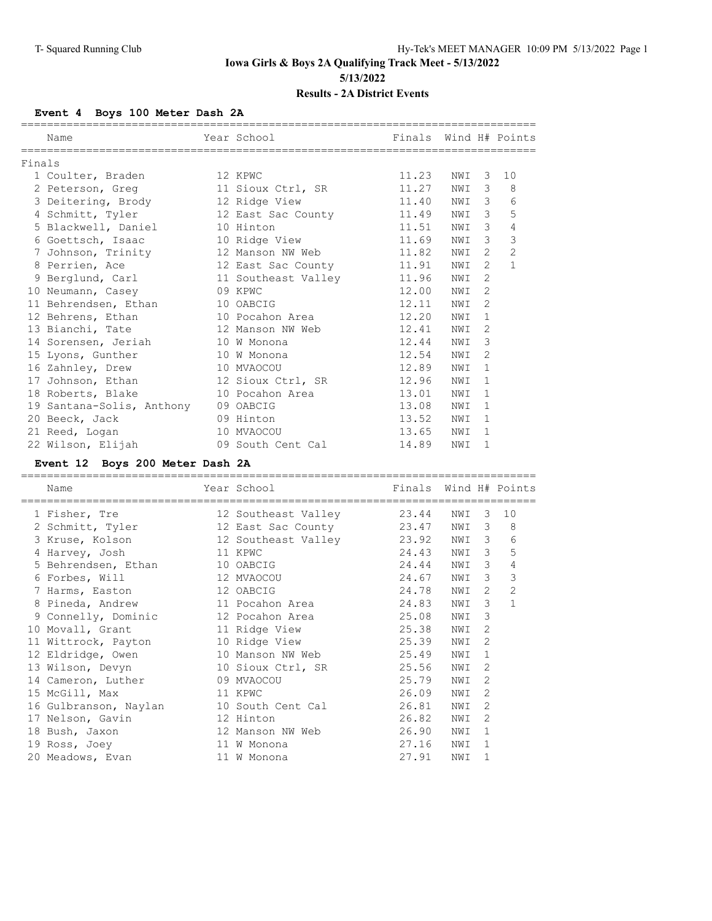### **Event 4 Boys 100 Meter Dash 2A**

|                                           |                                        |                       |     |                | ==========     |
|-------------------------------------------|----------------------------------------|-----------------------|-----|----------------|----------------|
| Name                                      | Year School                            | Finals Wind H# Points |     |                |                |
| Finals                                    | ;===================================== |                       |     |                |                |
| 1 Coulter, Braden                         | 12 KPWC                                | 11.23                 | NWI | 3              | 10             |
| 2 Peterson, Greg and 11 Sioux Ctrl, SR    |                                        | 11.27                 | NWI | 3              | 8              |
| 3 Deitering, Brody                        | 12 Ridge View                          | 11.40                 | NWI | 3              | 6              |
| 4 Schmitt, Tyler 12 East Sac County 11.49 |                                        |                       | NWI | 3              | 5              |
| 5 Blackwell, Daniel                       | 10 Hinton                              | 11.51                 | NWI | 3              | 4              |
| 6 Goettsch, Isaac                         | 10 Ridge View                          | 11.69                 | NWI | 3              | 3              |
| 7 Johnson, Trinity                        | 12 Manson NW Web                       | 11.82                 | NWI | $\overline{2}$ | $\overline{2}$ |
| 8 Perrien, Ace                            | 12 East Sac County                     | 11.91                 | NWI | $\mathfrak{D}$ | $\mathbf{1}$   |
| 9 Berglund, Carl                          | 11 Southeast Valley                    | 11.96                 | NWI | $\mathfrak{D}$ |                |
| 10 Neumann, Casey                         | 09 KPWC                                | 12.00                 | NWI | $\overline{2}$ |                |
| 11 Behrendsen, Ethan                      | 10 OABCIG                              | 12.11                 | NWI | $\mathcal{D}$  |                |
| 12 Behrens, Ethan                         | 10 Pocahon Area                        | 12.20                 | NWI | 1              |                |
| 13 Bianchi, Tate                          | 12 Manson NW Web                       | 12.41                 | NWI | 2              |                |
| 14 Sorensen, Jeriah                       | 10 W Monona                            | 12.44                 | NWI | 3              |                |
| 15 Lyons, Gunther                         | 10 W Monona                            | 12.54                 | NWI | $\overline{2}$ |                |
| 16 Zahnley, Drew                          | 10 MVAOCOU                             | 12.89                 | NWI | 1              |                |
| 17 Johnson, Ethan 12 Sioux Ctrl, SR       |                                        | 12.96                 | NWI | 1              |                |
| 18 Roberts, Blake                         | 10 Pocahon Area                        | 13.01                 | NWI | 1              |                |
| 19 Santana-Solis, Anthony                 | 09 OABCIG                              | 13.08                 | NWI | 1              |                |
| 20 Beeck, Jack                            | 09 Hinton                              | 13.52                 | NWI | $\mathbf{1}$   |                |
| 21 Reed, Logan                            | 10 MVAOCOU                             | 13.65                 | NWI | 1              |                |
| 22 Wilson, Elijah                         | 09 South Cent Cal                      | 14.89                 | NWI | 1              |                |
|                                           |                                        |                       |     |                |                |

### **Event 12 Boys 200 Meter Dash 2A**

| Name                  |    | Year School         | Finals |     |               | Wind H# Points |
|-----------------------|----|---------------------|--------|-----|---------------|----------------|
| 1 Fisher, Tre         |    | 12 Southeast Valley | 23.44  | NWI | 3             | 10             |
| 2 Schmitt, Tyler      |    | 12 East Sac County  | 23.47  | NWI | 3             | 8              |
| 3 Kruse, Kolson       |    | 12 Southeast Valley | 23.92  | NWI | 3             | 6              |
| 4 Harvey, Josh        |    | 11 KPWC             | 24.43  | NWI | 3             | 5              |
| 5 Behrendsen, Ethan   |    | 10 OABCIG           | 24.44  | NWI | 3             | 4              |
| 6 Forbes, Will        |    | 12 MVAOCOU          | 24.67  | NWI | 3             | 3              |
| 7 Harms, Easton       |    | 12 OABCIG           | 24.78  | NWI | 2             | $\overline{2}$ |
| 8 Pineda, Andrew      |    | 11 Pocahon Area     | 24.83  | NWI | 3             | $\mathbf{1}$   |
| 9 Connelly, Dominic   |    | 12 Pocahon Area     | 25.08  | NWI | 3             |                |
| 10 Movall, Grant      |    | 11 Ridge View       | 25.38  | NWI | 2             |                |
| 11 Wittrock, Payton   |    | 10 Ridge View       | 25.39  | NWI | 2             |                |
| 12 Eldridge, Owen     |    | 10 Manson NW Web    | 25.49  | NWI | $\mathbf{1}$  |                |
| 13 Wilson, Devyn      |    | 10 Sioux Ctrl, SR   | 25.56  | NWI | 2             |                |
| 14 Cameron, Luther    |    | 09 MVAOCOU          | 25.79  | NWI | 2             |                |
| 15 McGill, Max        |    | 11 KPWC             | 26.09  | NWI | 2             |                |
| 16 Gulbranson, Naylan |    | 10 South Cent Cal   | 26.81  | NWI | 2             |                |
| 17 Nelson, Gavin      |    | 12 Hinton           | 26.82  | NWI | $\mathcal{L}$ |                |
| 18 Bush, Jaxon        |    | 12 Manson NW Web    | 26.90  | NWI | $\mathbf{1}$  |                |
| 19 Ross, Joey         | 11 | W Monona            | 27.16  | NWI | 1             |                |
| 20 Meadows, Evan      |    | 11 W Monona         | 27.91  | NWI | 1             |                |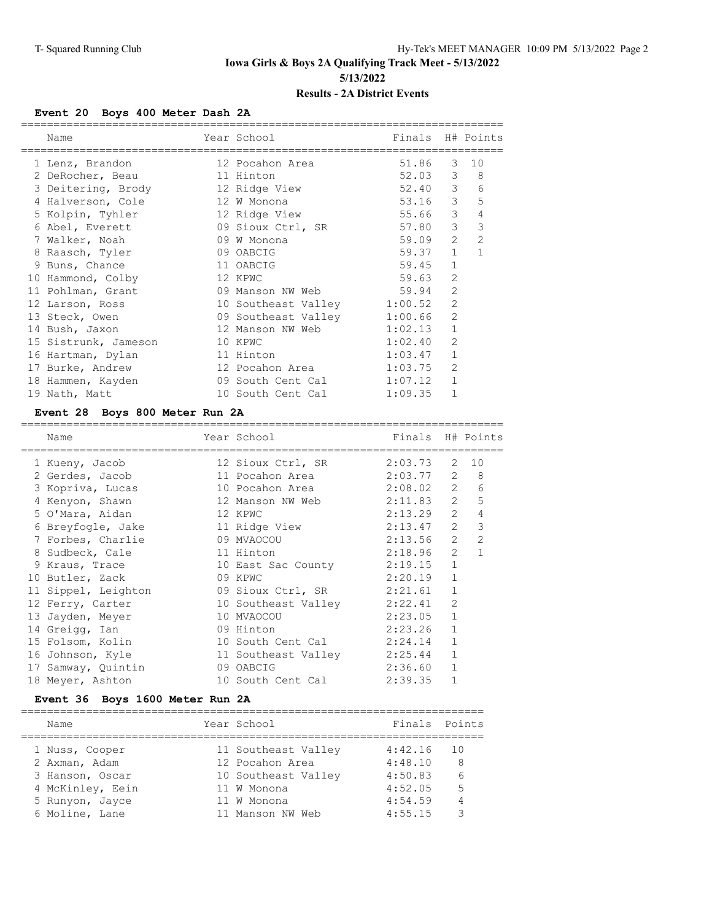### **Event 20 Boys 400 Meter Dash 2A**

|                                               | Finals H# Points |
|-----------------------------------------------|------------------|
|                                               |                  |
| 51.86<br>3                                    | 10               |
| 52.03 3                                       | 8                |
| 52.40 3                                       | 6                |
| $\mathcal{S}$<br>53.16                        | 5                |
| $55.66$ 3                                     | 4                |
| 3<br>57.80                                    | $\mathcal{S}$    |
| $\overline{2}$<br>59.09                       | $\overline{2}$   |
| $\mathbf{1}$<br>59.37                         | 1                |
| $\mathbf{1}$<br>59.45                         |                  |
| $\overline{2}$<br>59.63                       |                  |
| $\overline{2}$<br>09 Manson NW Web 59.94      |                  |
| $\overline{2}$<br>10 Southeast Valley 1:00.52 |                  |
| $\mathfrak{D}$<br>09 Southeast Valley 1:00.66 |                  |
| $\mathbf 1$<br>1:02.13                        |                  |
| $\overline{2}$                                |                  |
| $\mathbf{1}$                                  |                  |
| $\overline{2}$<br>1:03.75                     |                  |
| $\mathbf{1}$<br>1:07.12                       |                  |
|                                               |                  |
|                                               |                  |

#### **Event 28 Boys 800 Meter Run 2A**

| Name                | Year School<br>=========== | Finals H# Points |                |                  |
|---------------------|----------------------------|------------------|----------------|------------------|
| 1 Kueny, Jacob      | 12 Sioux Ctrl, SR          | 2:03.73          |                | $2 \t10$         |
| 2 Gerdes, Jacob     | 11 Pocahon Area            | $2:03.77$ 2      |                | 8                |
| 3 Kopriva, Lucas    | 10 Pocahon Area 2:08.02 2  |                  |                | 6                |
| 4 Kenyon, Shawn     | 12 Manson NW Web           | 2:11.83          |                | $2^{\circ}$<br>5 |
| 5 O'Mara, Aidan     | 12 KPWC                    | 2:13.29          | $\overline{2}$ | 4                |
| 6 Breyfogle, Jake   | 11 Ridge View              | 2:13.47          | $\overline{2}$ | 3                |
| 7 Forbes, Charlie   | 09 MVAOCOU                 | 2:13.56          | $\overline{2}$ | $\overline{2}$   |
| 8 Sudbeck, Cale     | 11 Hinton                  | 2:18.96          | $\overline{2}$ | $\overline{1}$   |
| 9 Kraus, Trace      | 10 East Sac County         | 2:19.15          | $\mathbf{1}$   |                  |
| 10 Butler, Zack     | 09 KPWC                    | 2:20.19          | $\mathbf{1}$   |                  |
| 11 Sippel, Leighton | 09 Sioux Ctrl, SR          | 2:21.61          | $\mathbf{1}$   |                  |
| 12 Ferry, Carter    | 10 Southeast Valley        | 2:22.41          | $\overline{2}$ |                  |
| 13 Jayden, Meyer    | 10 MVAOCOU                 | 2:23.05          | $\mathbf{1}$   |                  |
| 14 Greigg, Ian      | 09 Hinton                  | 2:23.26          | $\mathbf{1}$   |                  |
| 15 Folsom, Kolin    | 10 South Cent Cal          | 2:24.14          | $\mathbf{1}$   |                  |
| 16 Johnson, Kyle    | 11 Southeast Valley        | 2:25.44          | 1              |                  |
| 17 Samway, Quintin  | 09 OABCIG                  | 2:36.60          | 1              |                  |
| 18 Meyer, Ashton    | 10 South Cent Cal          | 2:39.35          | 1              |                  |
|                     |                            |                  |                |                  |

# **Event 36 Boys 1600 Meter Run 2A**

| Name             | Year School         | Finals  | Points |
|------------------|---------------------|---------|--------|
| 1 Nuss, Cooper   | 11 Southeast Valley | 4:42.16 | 1 O    |
| 2 Axman, Adam    | 12 Pocahon Area     | 4:48.10 | 8      |
| 3 Hanson, Oscar  | 10 Southeast Valley | 4:50.83 | 6      |
| 4 McKinley, Eein | 11 W Monona         | 4:52.05 | 5      |
| 5 Runyon, Jayce  | 11 W Monona         | 4:54.59 | 4      |
| 6 Moline, Lane   | 11 Manson NW Web    | 4:55.15 | っ      |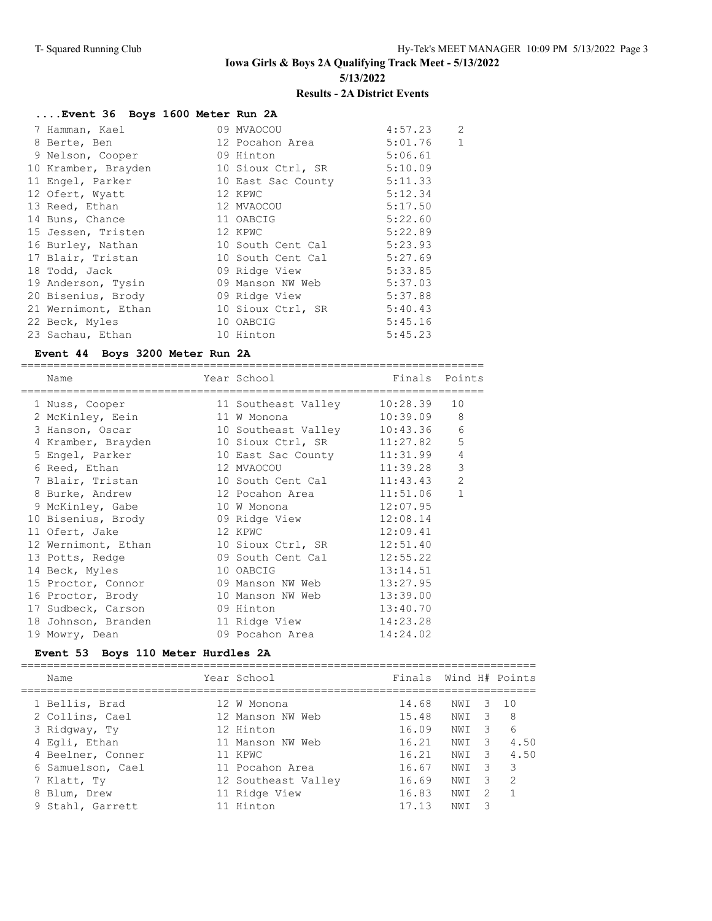### **....Event 36 Boys 1600 Meter Run 2A**

|  | 7 Hamman, Kael      | 09 MVAOCOU         | 4:57.23 | $\overline{c}$ |
|--|---------------------|--------------------|---------|----------------|
|  | 8 Berte, Ben        | 12 Pocahon Area    | 5:01.76 | $\mathbf{1}$   |
|  | 9 Nelson, Cooper    | 09 Hinton          | 5:06.61 |                |
|  | 10 Kramber, Brayden | 10 Sioux Ctrl, SR  | 5:10.09 |                |
|  | 11 Engel, Parker    | 10 East Sac County | 5:11.33 |                |
|  | 12 Ofert, Wyatt     | 12 KPWC            | 5:12.34 |                |
|  | 13 Reed, Ethan      | 12 MVAOCOU         | 5:17.50 |                |
|  | 14 Buns, Chance     | 11 OABCIG          | 5:22.60 |                |
|  | 15 Jessen, Tristen  | 12 KPWC            | 5:22.89 |                |
|  | 16 Burley, Nathan   | 10 South Cent Cal  | 5:23.93 |                |
|  | 17 Blair, Tristan   | 10 South Cent Cal  | 5:27.69 |                |
|  | 18 Todd, Jack       | 09 Ridge View      | 5:33.85 |                |
|  | 19 Anderson, Tysin  | 09 Manson NW Web   | 5:37.03 |                |
|  | 20 Bisenius, Brody  | 09 Ridge View      | 5:37.88 |                |
|  | 21 Wernimont, Ethan | 10 Sioux Ctrl, SR  | 5:40.43 |                |
|  | 22 Beck, Myles      | 10 OABCIG          | 5:45.16 |                |
|  | 23 Sachau, Ethan    | 10 Hinton          | 5:45.23 |                |
|  |                     |                    |         |                |

#### **Event 44 Boys 3200 Meter Run 2A**

| Name<br>==========================                                 | Year School                | Finals Points |                |
|--------------------------------------------------------------------|----------------------------|---------------|----------------|
| 1 Nuss, Cooper                                                     | 11 Southeast Valley        | 10:28.39      | 10             |
| 2 McKinley, Eein                                                   | 11 W Monona                | 10:39.09      | 8              |
| 3 Hanson, Oscar                 10 Southeast Valley       10:43.36 |                            |               | $\sqrt{6}$     |
| 4 Kramber, Brayden 10 Sioux Ctrl, SR 11:27.82                      |                            |               | 5              |
| 5 Engel, Parker 10 East Sac County 11:31.99                        |                            |               | $\overline{4}$ |
| 6 Reed, Ethan                                                      | 12 MVAOCOU 11:39.28        |               | $\mathcal{S}$  |
| 7 Blair, Tristan                                                   | 10 South Cent Cal          | 11:43.43      | $\overline{2}$ |
| 8 Burke, Andrew                                                    | 12 Pocahon Area            | 11:51.06      | $\mathbf{1}$   |
| 9 McKinley, Gabe 10 W Monona                                       |                            | 12:07.95      |                |
|                                                                    |                            | 12:08.14      |                |
| 11 Ofert, Jake                                                     | 12 KPWC                    | 12:09.41      |                |
| 12 Wernimont, Ethan 10 Sioux Ctrl, SR                              |                            | 12:51.40      |                |
| 13 Potts, Redge                                                    | 09 South Cent Cal 12:55.22 |               |                |
| 14 Beck, Myles                                                     | 10 OABCIG                  | 13:14.51      |                |
| 15 Proctor, Connor 69 Manson NW Web                                |                            | 13:27.95      |                |
| 16 Proctor, Brody                                                  | 10 Manson NW Web           | 13:39.00      |                |
| 17 Sudbeck, Carson                                                 | 09 Hinton                  | 13:40.70      |                |
| 18 Johnson, Branden                                                | 11 Ridge View              | 14:23.28      |                |
| 19 Mowry, Dean                                                     | 09 Pocahon Area            | 14:24.02      |                |

### **Event 53 Boys 110 Meter Hurdles 2A**

| Name              | Year School         | Finals Wind H# Points |      |    |               |
|-------------------|---------------------|-----------------------|------|----|---------------|
| 1 Bellis, Brad    | 12 W Monona         | 14.68                 | NWI  | З  | 10            |
| 2 Collins, Cael   | 12 Manson NW Web    | 15.48                 | NWI  | 3  | 8             |
| 3 Ridgway, Ty     | 12 Hinton           | 16.09                 | NWI  | -3 | 6             |
| 4 Egli, Ethan     | 11 Manson NW Web    | 16.21                 | NWI  | -3 | 4.50          |
| 4 Beelner, Conner | 11 KPWC             | 16.21                 | NW T | -3 | 4.50          |
| 6 Samuelson, Cael | 11 Pocahon Area     | 16.67                 | NWI  | २  | 3             |
| 7 Klatt, Ty       | 12 Southeast Valley | 16.69                 | NWI  | 3  | $\mathcal{D}$ |
| 8 Blum, Drew      | 11 Ridge View       | 16.83                 | NWI  | 2  |               |
| 9 Stahl, Garrett  | 11 Hinton           | 17 13                 | NW I | 3  |               |
|                   |                     |                       |      |    |               |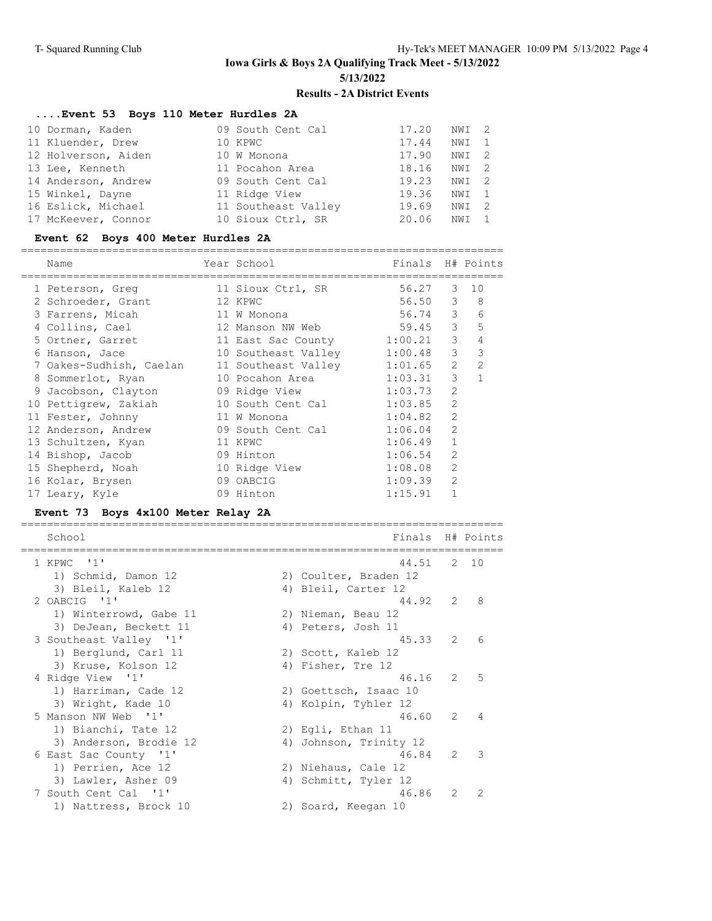### **....Event 53 Boys 110 Meter Hurdles 2A**

| 10 Dorman, Kaden    | 09 South Cent Cal   | 17.20 | NWI 2 |  |
|---------------------|---------------------|-------|-------|--|
| 11 Kluender, Drew   | 10 KPWC             | 17.44 | NWI 1 |  |
| 12 Holverson, Aiden | 10 W Monona         | 17.90 | NWI 2 |  |
| 13 Lee, Kenneth     | 11 Pocahon Area     | 18.16 | NWI 2 |  |
| 14 Anderson, Andrew | 09 South Cent Cal   | 19.23 | NWI 2 |  |
| 15 Winkel, Dayne    | 11 Ridge View       | 19.36 | NWI 1 |  |
| 16 Eslick, Michael  | 11 Southeast Valley | 19.69 | NWI 2 |  |
| 17 McKeever, Connor | 10 Sioux Ctrl, SR   | 20.06 | NWI   |  |

#### **Event 62 Boys 400 Meter Hurdles 2A**

| __<br>___ |                      | ____ |
|-----------|----------------------|------|
| N⊃me      | $\sim$ $\sim$ $\sim$ |      |

| Name                    | Year School                 | Finals  |                | H# Points      |
|-------------------------|-----------------------------|---------|----------------|----------------|
| 1 Peterson, Greq        | 11 Sioux Ctrl, SR           | 56.27   |                | 3 10           |
| 2 Schroeder, Grant      | 12 KPWC                     | 56.50   | 3              | 8              |
| 3 Farrens, Micah        | 11 W Monona                 | 56.74 3 |                | 6              |
| 4 Collins, Cael         | 12 Manson NW Web            | 59.45   | 3              | 5              |
| 5 Ortner, Garret        | 11 East Sac County          | 1:00.21 | 3              | 4              |
| 6 Hanson, Jace          | 10 Southeast Valley 1:00.48 |         | 3              | 3              |
| 7 Oakes-Sudhish, Caelan | 11 Southeast Valley         | 1:01.65 | $\overline{2}$ | $\overline{2}$ |
| 8 Sommerlot, Ryan       | 10 Pocahon Area             | 1:03.31 | 3              |                |
| 9 Jacobson, Clayton     | 09 Ridge View               | 1:03.73 | $\overline{2}$ |                |
| 10 Pettigrew, Zakiah    | 10 South Cent Cal           | 1:03.85 | $\overline{2}$ |                |
| 11 Fester, Johnny       | 11 W Monona                 | 1:04.82 | $\mathfrak{D}$ |                |
| 12 Anderson, Andrew     | 09 South Cent Cal           | 1:06.04 | $\overline{2}$ |                |
| 13 Schultzen, Kyan      | 11 KPWC                     | 1:06.49 | $\mathbf{1}$   |                |
| 14 Bishop, Jacob        | 09 Hinton                   | 1:06.54 | $\mathfrak{D}$ |                |
| 15 Shepherd, Noah       | 10 Ridge View               | 1:08.08 | $\mathcal{L}$  |                |
| 16 Kolar, Brysen        | 09 OABCIG                   | 1:09.39 | $\overline{2}$ |                |
| 17 Leary, Kyle          | 09 Hinton                   | 1:15.91 |                |                |

#### **Event 73 Boys 4x100 Meter Relay 2A**

| School                 |    | Finals                |                | H# Points      |
|------------------------|----|-----------------------|----------------|----------------|
| 1 KPWC '1'             |    | 44.51                 |                | $2 \quad 10$   |
| 1) Schmid, Damon 12    |    | 2) Coulter, Braden 12 |                |                |
| 3) Bleil, Kaleb 12     |    | 4) Bleil, Carter 12   |                |                |
| 2 OABCIG '1'           |    | 44.92                 | 2              | 8              |
| 1) Winterrowd, Gabe 11 |    | 2) Nieman, Beau 12    |                |                |
| 3) DeJean, Beckett 11  |    | 4) Peters, Josh 11    |                |                |
| 3 Southeast Valley '1' |    | 45.33                 | 2              | 6              |
| 1) Berglund, Carl 11   |    | 2) Scott, Kaleb 12    |                |                |
| 3) Kruse, Kolson 12    |    | 4) Fisher, Tre 12     |                |                |
| 4 Ridge View '1'       |    | 46.16                 | $\mathcal{L}$  | 5              |
| 1) Harriman, Cade 12   |    | 2) Goettsch, Isaac 10 |                |                |
| 3) Wright, Kade 10     |    | 4) Kolpin, Tyhler 12  |                |                |
| 5 Manson NW Web '1'    |    | 46.60                 | $\overline{2}$ | $\overline{4}$ |
| 1) Bianchi, Tate 12    |    | 2) Eqli, Ethan 11     |                |                |
| 3) Anderson, Brodie 12 | 4) | Johnson, Trinity 12   |                |                |
| 6 East Sac County '1'  |    | 46.84                 | $\mathcal{L}$  | 3              |
| 1) Perrien, Ace 12     |    | 2) Niehaus, Cale 12   |                |                |
| 3) Lawler, Asher 09    |    | 4) Schmitt, Tyler 12  |                |                |
| 7 South Cent Cal '1'   |    | 46.86                 | $\mathcal{L}$  | $\mathcal{L}$  |
| 1) Nattress, Brock 10  |    | 2) Soard, Keegan 10   |                |                |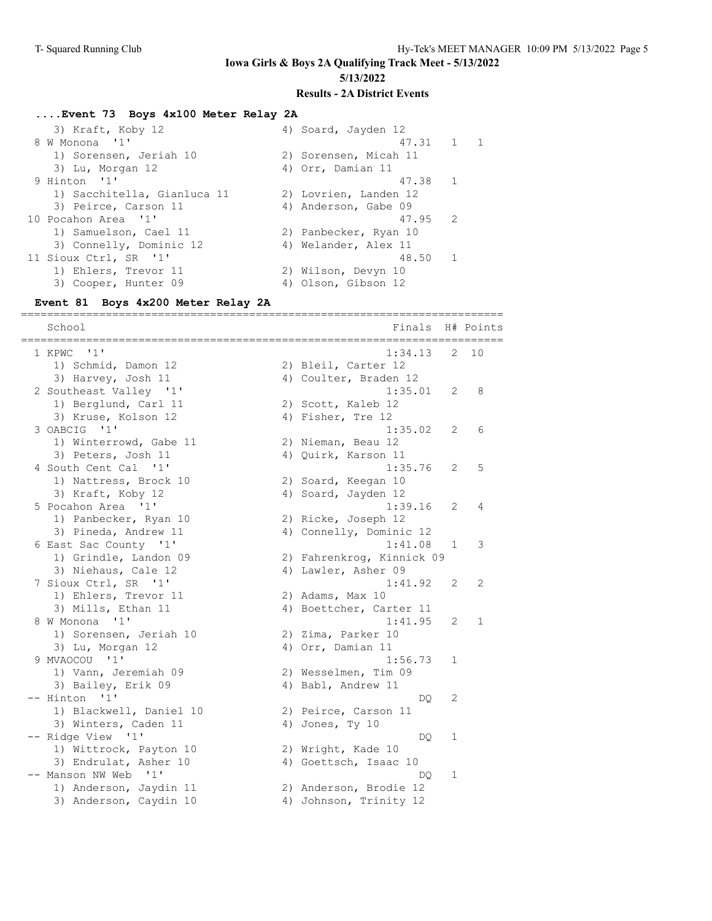#### **....Event 73 Boys 4x100 Meter Relay 2A**

| 3) Kraft, Koby 12           | 4) Soard, Jayden 12   |                |                |
|-----------------------------|-----------------------|----------------|----------------|
| 8 W Monona '1'              | 47.31 1               |                | $\overline{1}$ |
| 1) Sorensen, Jeriah 10      | 2) Sorensen, Micah 11 |                |                |
| 3) Lu, Morgan 12            | 4) Orr, Damian 11     |                |                |
| 9 Hinton '1'                | 47.38                 | $\overline{1}$ |                |
| 1) Sacchitella, Gianluca 11 | 2) Lovrien, Landen 12 |                |                |
| 3) Peirce, Carson 11        | 4) Anderson, Gabe 09  |                |                |
| 10 Pocahon Area '1'         | 47.95 2               |                |                |
| 1) Samuelson, Cael 11       | 2) Panbecker, Ryan 10 |                |                |
| 3) Connelly, Dominic 12     | 4) Welander, Alex 11  |                |                |
| 11 Sioux Ctrl, SR '1'       | 48.50                 | $\overline{1}$ |                |
| 1) Ehlers, Trevor 11        | 2) Wilson, Devyn 10   |                |                |
| 3) Cooper, Hunter 09        | 4) Olson, Gibson 12   |                |                |

#### **Event 81 Boys 4x200 Meter Relay 2A**

========================================================================== School Finals H# Points ========================================================================== 1 KPWC '1' 1:34.13 2 10 1) Schmid, Damon 12 2) Bleil, Carter 12 3) Harvey, Josh 11 4) Coulter, Braden 12 2 Southeast Valley '1' 1:35.01 2 8 1) Berglund, Carl 11 2) Scott, Kaleb 12 3) Kruse, Kolson 12 4) Fisher, Tre 12 3 OABCIG '1' 1:35.02 2 6 1) Winterrowd, Gabe 11 2) Nieman, Beau 12 3) Peters, Josh 11 4) Quirk, Karson 11 4 South Cent Cal '1' 1:35.76 2 5 1) Nattress, Brock 10 2) Soard, Keegan 10 3) Kraft, Koby 12 4) Soard, Jayden 12 5 Pocahon Area '1' 1:39.16 2 4 1) Panbecker, Ryan 10 (2) Ricke, Joseph 12 3) Pineda, Andrew 11 4) Connelly, Dominic 12 6 East Sac County '1' 1:41.08 1 3 1) Grindle, Landon 09 2) Fahrenkrog, Kinnick 09 3) Niehaus, Cale 12 (4) Lawler, Asher 09 7 Sioux Ctrl, SR '1' 1:41.92 2 2 1) Ehlers, Trevor 11 2) Adams, Max 10 3) Mills, Ethan 11 4) Boettcher, Carter 11 8 W Monona '1' 1:41.95 2 1 1) Sorensen, Jeriah 10  $\hspace{1.6cm}$  2) Zima, Parker 10 3) Lu, Morgan 12 4) Orr, Damian 11 9 MVAOCOU '1' 1:56.73 1 1) Vann, Jeremiah 09 2) Wesselmen, Tim 09 3) Bailey, Erik 09 4) Babl, Andrew 11 -- Hinton '1' DQ 2 1) Blackwell, Daniel 10 2) Peirce, Carson 11 3) Winters, Caden 11 4) Jones, Ty 10 -- Ridge View '1' DQ 1 1) Wittrock, Payton 10 2) Wright, Kade 10 3) Endrulat, Asher 10 4) Goettsch, Isaac 10 -- Manson NW Web '1' DQ 1 1) Anderson, Jaydin 11 2) Anderson, Brodie 12 3) Anderson, Caydin 10 4) Johnson, Trinity 12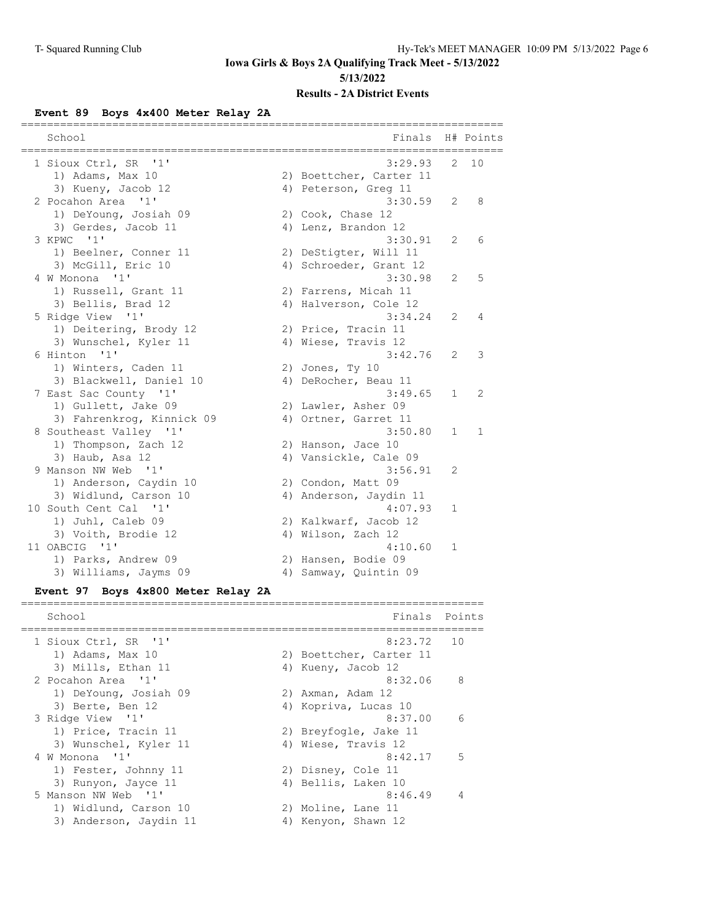#### **Event 89 Boys 4x400 Meter Relay 2A**

| ==============                     | ============================= |                |           |
|------------------------------------|-------------------------------|----------------|-----------|
| School<br>==============           | Finals<br>---------------     |                | H# Points |
| 1 Sioux Ctrl, SR '1'               | 3:29.93                       |                | $2 \t10$  |
| 1) Adams, Max 10                   | 2) Boettcher, Carter 11       |                |           |
| 3) Kueny, Jacob 12                 | 4) Peterson, Greg 11          |                |           |
| 2 Pocahon Area '1'                 | 3:30.59                       | 2              | 8         |
| 1) DeYoung, Josiah 09              | 2) Cook, Chase 12             |                |           |
| 3) Gerdes, Jacob 11                | 4) Lenz, Brandon 12           |                |           |
| 3 KPWC '1'                         | 3:30.91                       | $\overline{2}$ | 6         |
| 1) Beelner, Conner 11              | 2) DeStigter, Will 11         |                |           |
| 3) McGill, Eric 10                 | 4) Schroeder, Grant 12        |                |           |
| 4 W Monona '1'                     | 3:30.98                       | 2              | 5         |
| 1) Russell, Grant 11               | 2) Farrens, Micah 11          |                |           |
| 3) Bellis, Brad 12                 | 4) Halverson, Cole 12         |                |           |
| 5 Ridge View '1'                   | 3:34.24                       | 2              | 4         |
| 1) Deitering, Brody 12             | 2) Price, Tracin 11           |                |           |
| 3) Wunschel, Kyler 11              | 4) Wiese, Travis 12           |                |           |
| 6 Hinton '1'                       | 3:42.76                       | 2              | 3         |
| 1) Winters, Caden 11               | 2) Jones, Ty 10               |                |           |
| 3) Blackwell, Daniel 10            | 4) DeRocher, Beau 11          |                |           |
| 7 East Sac County '1'              | 3:49.65                       | $\mathbf{1}$   | 2         |
| 1) Gullett, Jake 09                | 2) Lawler, Asher 09           |                |           |
| 3) Fahrenkrog, Kinnick 09          | 4) Ortner, Garret 11          |                |           |
| 8 Southeast Valley '1'             | 3:50.80                       | $\mathbf{1}$   | 1         |
| 1) Thompson, Zach 12               | 2) Hanson, Jace 10            |                |           |
| 3) Haub, Asa 12                    | 4) Vansickle, Cale 09         |                |           |
| 9 Manson NW Web '1'                | 3:56.91                       | 2              |           |
| 1) Anderson, Caydin 10             | 2) Condon, Matt 09            |                |           |
| 3) Widlund, Carson 10              | 4) Anderson, Jaydin 11        |                |           |
| 10 South Cent Cal '1'              | 4:07.93                       | 1              |           |
| 1) Juhl, Caleb 09                  | 2) Kalkwarf, Jacob 12         |                |           |
| 3) Voith, Brodie 12                | 4) Wilson, Zach 12            |                |           |
| 11 OABCIG '1'                      | 4:10.60                       | 1              |           |
| 1) Parks, Andrew 09                | 2) Hansen, Bodie 09           |                |           |
| 3) Williams, Jayms 09              | 4) Samway, Quintin 09         |                |           |
| Event 97 Boys 4x800 Meter Relay 2A |                               |                |           |

#### ======================================================================= School **Finals** Points ======================================================================= 1 Sioux Ctrl, SR '1' 8:23.72 10 1) Adams, Max 10 2) Boettcher, Carter 11 3) Mills, Ethan 11 4) Kueny, Jacob 12 2 Pocahon Area '1' 8:32.06 8 1) DeYoung, Josiah 09 2) Axman, Adam 12 3) Berte, Ben 12 19 12 12 12 13 4 13 14 13 14 13 14 14 14 15 16 17 18 18 19 3 Ridge View '1' 8:37.00 6 1) Price, Tracin 11 2) Breyfogle, Jake 11 3) Wunschel, Kyler 11 (4) Wiese, Travis 12 4 W Monona '1' 8:42.17 5 1) Fester, Johnny 11 2) Disney, Cole 11 3) Runyon, Jayce 11 (4) Bellis, Laken 10 5 Manson NW Web '1' 8:46.49 4 1) Widlund, Carson 10 2) Moline, Lane 11 3) Anderson, Jaydin 11 4) Kenyon, Shawn 12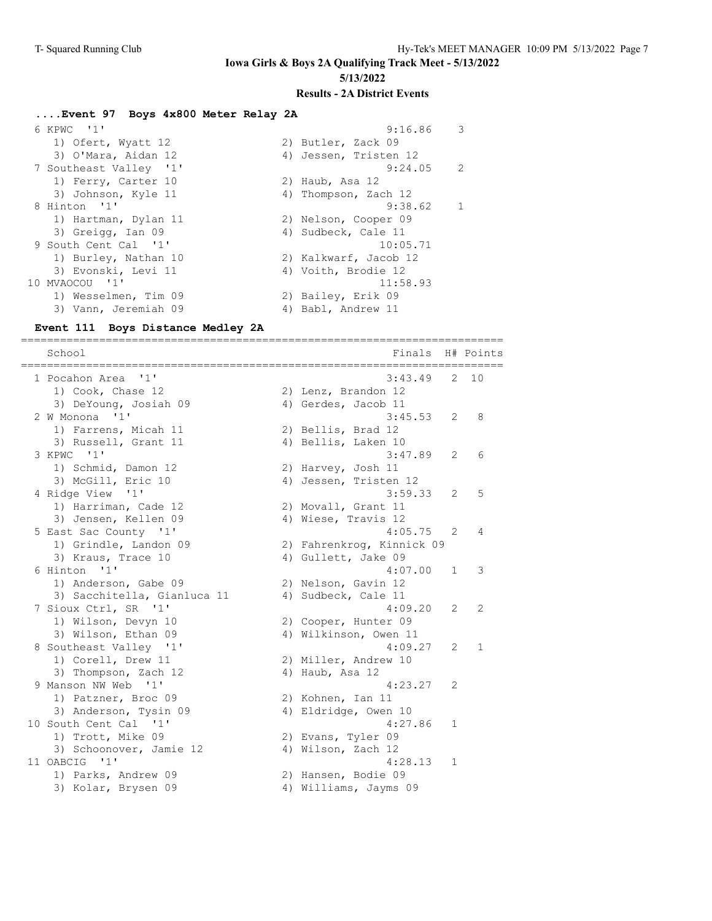#### **....Event 97 Boys 4x800 Meter Relay 2A**

| 6 KPWC '1'             | 9:16.86               | - 3            |
|------------------------|-----------------------|----------------|
| 1) Ofert, Wyatt 12     | 2) Butler, Zack 09    |                |
| 3) O'Mara, Aidan 12    | 4) Jessen, Tristen 12 |                |
| 7 Southeast Valley '1' | 9:24.05               | 2              |
| 1) Ferry, Carter 10    | 2) Haub, Asa 12       |                |
| 3) Johnson, Kyle 11    | 4) Thompson, Zach 12  |                |
| 8 Hinton '1'           | 9:38.62               | $\overline{1}$ |
| 1) Hartman, Dylan 11   | 2) Nelson, Cooper 09  |                |
| 3) Greigg, Ian 09      | 4) Sudbeck, Cale 11   |                |
| 9 South Cent Cal '1'   | 10:05.71              |                |
| 1) Burley, Nathan 10   | 2) Kalkwarf, Jacob 12 |                |
| 3) Evonski, Levi 11    | 4) Voith, Brodie 12   |                |
| 10 MVAOCOU '1'         | 11:58.93              |                |
| 1) Wesselmen, Tim 09   | 2) Bailey, Erik 09    |                |
| 3) Vann, Jeremiah 09   | 4) Babl, Andrew 11    |                |

#### **Event 111 Boys Distance Medley 2A**

========================================================================== School **Finals H**# Points ========================================================================== 1 Pocahon Area '1' 3:43.49 2 10 1) Cook, Chase 12 2) Lenz, Brandon 12 3) DeYoung, Josiah 09 (4) Gerdes, Jacob 11 2 W Monona '1' 3:45.53 2 8 1) Farrens, Micah 11 2) Bellis, Brad 12 3) Russell, Grant 11 (4) Bellis, Laken 10 3 KPWC '1' 3:47.89 2 6 1) Schmid, Damon 12 2) Harvey, Josh 11 3) McGill, Eric 10 4) Jessen, Tristen 12 4 Ridge View '1' 3:59.33 2 5 1) Harriman, Cade 12 2) Movall, Grant 11 3) Jensen, Kellen 09 (4) Wiese, Travis 12 5 East Sac County '1' 4:05.75 2 4 1) Grindle, Landon 09 2) Fahrenkrog, Kinnick 09 3) Kraus, Trace 10 (4) Gullett, Jake 09 6 Hinton '1' 4:07.00 1 3 1) Anderson, Gabe 09 2) Nelson, Gavin 12 3) Sacchitella, Gianluca 11 (4) Sudbeck, Cale 11 7 Sioux Ctrl, SR '1' 4:09.20 2 2 1) Wilson, Devyn 10 2) Cooper, Hunter 09 3) Wilson, Ethan 09 4) Wilkinson, Owen 11 8 Southeast Valley '1' 4:09.27 2 1 1) Corell, Drew 11 2) Miller, Andrew 10 3) Thompson, Zach 12 (4) Haub, Asa 12 9 Manson NW Web '1' 4:23.27 2 1) Patzner, Broc 09 2) Kohnen, Ian 11 3) Anderson, Tysin 09 (4) Eldridge, Owen 10 10 South Cent Cal '1' 4:27.86 1 1) Trott, Mike 09 2) Evans, Tyler 09 3) Schoonover, Jamie 12 (4) Wilson, Zach 12 11 OABCIG '1' 4:28.13 1 1) Parks, Andrew 09 2) Hansen, Bodie 09 3) Kolar, Brysen 09 4) Williams, Jayms 09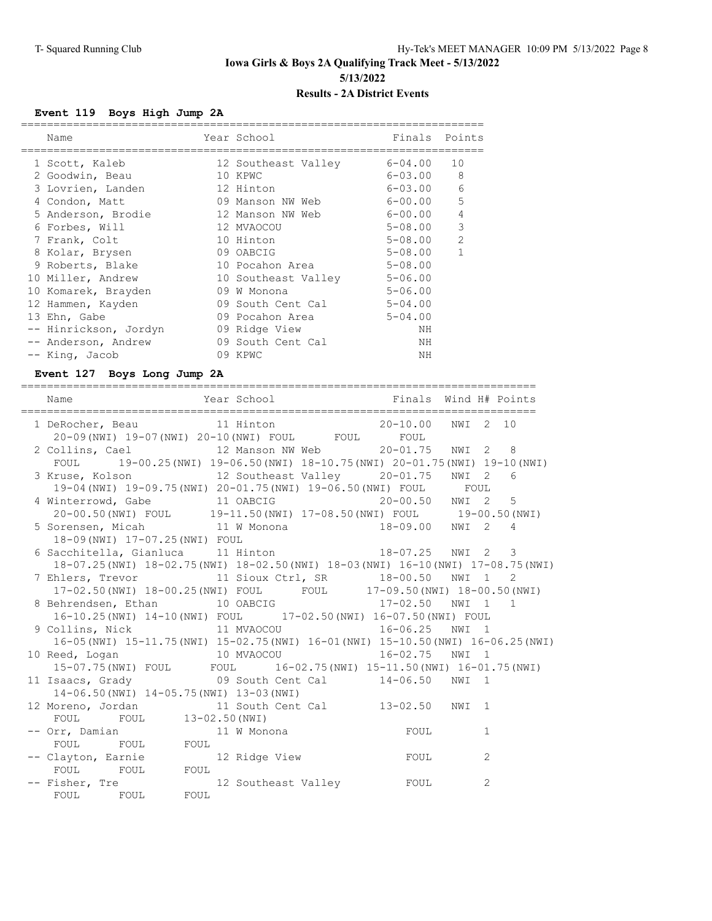### **Event 119 Boys High Jump 2A**

| Name                  | Year School                 | Finals      | Points         |
|-----------------------|-----------------------------|-------------|----------------|
| 1 Scott, Kaleb        | 12 Southeast Valley         | $6 - 04.00$ | 10             |
| 2 Goodwin, Beau       | 10 KPWC                     | $6 - 03.00$ | 8              |
| 3 Lovrien, Landen     | 12 Hinton                   | 6-03.00     | 6              |
| 4 Condon, Matt        | 09 Manson NW Web            | 6-00.00     | 5              |
| 5 Anderson, Brodie    | 12 Manson NW Web            | 6-00.00     | $\overline{4}$ |
| 6 Forbes, Will        | 12 MVAOCOU                  | $5 - 08.00$ | 3              |
| 7 Frank, Colt         | 10 Hinton                   | $5 - 08.00$ | $\mathcal{P}$  |
| 8 Kolar, Brysen       | 09 OABCIG                   | $5 - 08.00$ | $\mathbf{1}$   |
| 9 Roberts, Blake      | 10 Pocahon Area             | $5 - 08.00$ |                |
| 10 Miller, Andrew     | 10 Southeast Valley 5-06.00 |             |                |
| 10 Komarek, Brayden   | 09 W Monona                 | $5 - 06.00$ |                |
| 12 Hammen, Kayden     | 09 South Cent Cal           | $5 - 04.00$ |                |
| 13 Ehn, Gabe          | 09 Pocahon Area             | $5 - 04.00$ |                |
| -- Hinrickson, Jordyn | 09 Ridge View               | ΝH          |                |
| -- Anderson, Andrew   | 09 South Cent Cal           | NH          |                |
| -- King, Jacob        | 09 KPWC                     | ΝH          |                |
|                       |                             |             |                |

### **Event 127 Boys Long Jump 2A**

| Year School The Finals Wind H# Points<br>Name                                                                                        |  |          |   |  |
|--------------------------------------------------------------------------------------------------------------------------------------|--|----------|---|--|
| 1 DeRocher, Beau 11 Hinton 20-10.00<br>20-09(NWI) 19-07(NWI) 20-10(NWI) FOUL FOUL FOUL                                               |  | NWI 2 10 |   |  |
| 2 Collins, Cael 12 Manson NW Web 20-01.75 NWI 2 8                                                                                    |  |          |   |  |
| FOUL 19-00.25 (NWI) 19-06.50 (NWI) 18-10.75 (NWI) 20-01.75 (NWI) 19-10 (NWI)<br>3 Kruse, Kolson 12 Southeast Valley 20-01.75 NWI 2 6 |  |          |   |  |
| 19-04 (NWI) 19-09.75 (NWI) 20-01.75 (NWI) 19-06.50 (NWI) FOUL FOUL                                                                   |  |          |   |  |
| 4 Winterrowd, Gabe 11 OABCIG 10 20-00.50 NWI 2 5                                                                                     |  |          |   |  |
| 20-00.50(NWI) FOUL 19-11.50(NWI) 17-08.50(NWI) FOUL 19-00.50(NWI)                                                                    |  |          |   |  |
| 5 Sorensen, Micah 11 W Monona 18-09.00 NWI 2 4                                                                                       |  |          |   |  |
| 18-09 (NWI) 17-07.25 (NWI) FOUL                                                                                                      |  |          |   |  |
| 6 Sacchitella, Gianluca 11 Hinton 18-07.25 NWI 2 3                                                                                   |  |          |   |  |
| 18-07.25 (NWI) 18-02.75 (NWI) 18-02.50 (NWI) 18-03 (NWI) 16-10 (NWI) 17-08.75 (NWI)                                                  |  |          |   |  |
| 7 Ehlers, Trevor 11 Sioux Ctrl, SR 18-00.50 NWI 1 2                                                                                  |  |          |   |  |
| 17-02.50 (NWI) 18-00.25 (NWI) FOUL FOUL 17-09.50 (NWI) 18-00.50 (NWI)                                                                |  |          |   |  |
| 8 Behrendsen, Ethan 10 OABCIG 17-02.50 NWI 1 1                                                                                       |  |          |   |  |
| 16-10.25(NWI) 14-10(NWI) FOUL 17-02.50(NWI) 16-07.50(NWI) FOUL                                                                       |  |          |   |  |
| 9 Collins, Nick 11 MVAOCOU 16-06.25 NWI 1                                                                                            |  |          |   |  |
| 16-05 (NWI) 15-11.75 (NWI) 15-02.75 (NWI) 16-01 (NWI) 15-10.50 (NWI) 16-06.25 (NWI)                                                  |  |          |   |  |
|                                                                                                                                      |  |          |   |  |
| 15-07.75 (NWI) FOUL FOUL 16-02.75 (NWI) 15-11.50 (NWI) 16-01.75 (NWI)                                                                |  |          |   |  |
| 11 Isaacs, Grady 69 South Cent Cal 14-06.50 NWI 1<br>14-06.50(NWI) 14-05.75(NWI) 13-03(NWI)                                          |  |          |   |  |
| 12 Moreno, Jordan 11 South Cent Cal 13-02.50 NWI 1                                                                                   |  |          |   |  |
| FOUL FOUL 13-02.50 (NWI)                                                                                                             |  |          |   |  |
|                                                                                                                                      |  |          | 1 |  |
| FOUL FOUL FOUL                                                                                                                       |  |          |   |  |
| -- Clayton, Earnie 12 Ridge View FOUL                                                                                                |  |          | 2 |  |
| FOUL FOUL FOUL                                                                                                                       |  |          |   |  |
| -- Fisher, Tre                         12 Southeast Valley           FOUL                                                            |  |          | 2 |  |
| FOUL FOUL FOUL                                                                                                                       |  |          |   |  |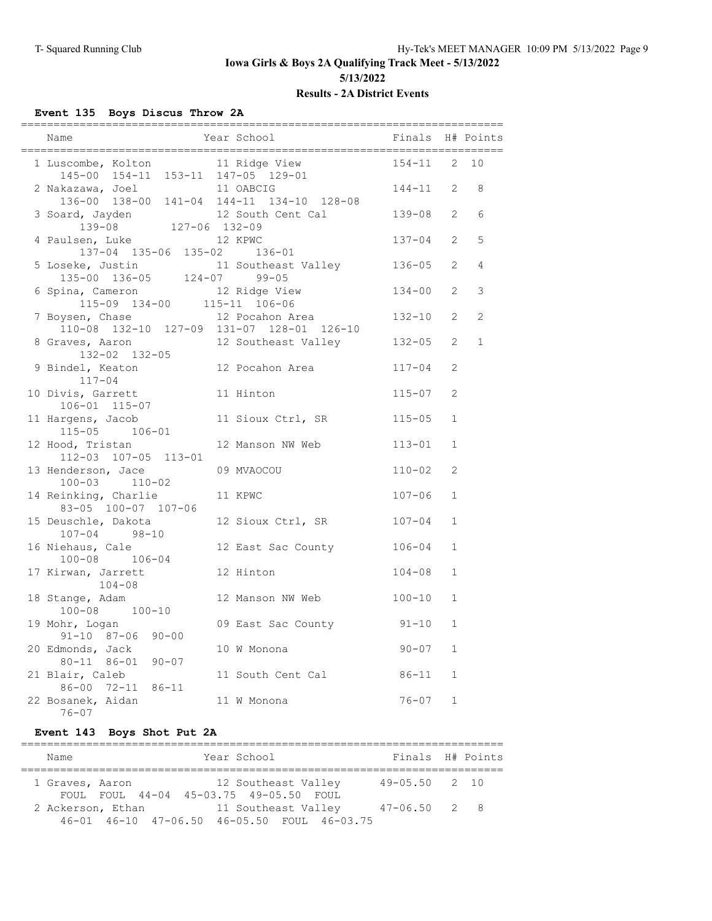### **Event 135 Boys Discus Throw 2A**

| Name                                                                                          | Year School                                                               | Finals H# Points |                |                |
|-----------------------------------------------------------------------------------------------|---------------------------------------------------------------------------|------------------|----------------|----------------|
| 1 Luscombe, Kolton 11 Ridge View<br>$145-00$ $154-11$ $153-11$ $147-05$ $129-01$              |                                                                           | $154 - 11$ 2     |                | 10             |
| 2 Nakazawa, Joel                                                                              | 11 OABCIG<br>136-00 138-00 141-04 144-11 134-10 128-08                    | $144 - 11$ 2     |                | 8              |
| 3 Soard, Jayden<br>12 South 127-06<br>139-08 127-06 132-09                                    | 12 South Cent Cal                                                         | 139-08 2         |                | 6              |
| 4 Paulsen, Luke<br>137-04 135-06 135-02 136-01                                                | 12 KPWC                                                                   | $137 - 04$       | $\overline{2}$ | 5              |
|                                                                                               | 5 Loseke, Justin 11 Southeast Valley 136-05<br>135-00 136-05 124-07 99-05 |                  | 2              | $\overline{4}$ |
| 6 Spina, Cameron                                                                              | 12 Ridge View                                                             | $134 - 00$       | 2              | 3              |
| $115-09$ $134-00$ $115-11$ $106-06$<br>$\therefore$ $12$ Bogabon $\lambda$<br>7 Boysen, Chase | 12 Pocahon Area<br>110-08 132-10 127-09 131-07 128-01 126-10              | $132 - 10$       | 2              | 2              |
| 8 Graves, Aaron<br>132-02 132-05                                                              | 12 Southeast Valley                                                       | $132 - 05$       | $\overline{2}$ | $\mathbf{1}$   |
| 9 Bindel, Keaton<br>$117 - 04$                                                                | 12 Pocahon Area                                                           | $117 - 04$       | 2              |                |
| 10 Divis, Garrett<br>106-01 115-07                                                            | 11 Hinton                                                                 | $115 - 07$       | 2              |                |
| 11 Hargens, Jacob<br>115-05 106-01                                                            | 11 Sioux Ctrl, SR                                                         | $115 - 05$       | $\mathbf{1}$   |                |
| 12 Hood, Tristan<br>112-03 107-05 113-01                                                      | 12 Manson NW Web                                                          | $113 - 01$       | 1              |                |
| 13 Henderson, Jace<br>$100 - 03$ $110 - 02$                                                   | 09 MVAOCOU                                                                | $110 - 02$       | 2              |                |
| 14 Reinking, Charlie<br>83-05 100-07 107-06                                                   | 11 KPWC                                                                   | $107 - 06$       | $\mathbf{1}$   |                |
| 15 Deuschle, Dakota<br>$107 - 04$ 98-10                                                       | 12 Sioux Ctrl, SR                                                         | $107 - 04$       | $\mathbf{1}$   |                |
| 16 Niehaus, Cale<br>$100 - 08$ $106 - 04$                                                     | 12 East Sac County                                                        | $106 - 04$       | $\mathbf{1}$   |                |
| 17 Kirwan, Jarrett<br>$104 - 08$                                                              | 12 Hinton                                                                 | $104 - 08$       | $\mathbf 1$    |                |
| 18 Stange, Adam<br>100-08 100-10                                                              | 12 Manson NW Web                                                          | $100 - 10$       | $\mathbf{1}$   |                |
| 19 Mohr, Logan<br>$91 - 10$ $87 - 06$ $90 - 00$                                               | 09 East Sac County 91-10                                                  |                  | $\mathbf 1$    |                |
| 20 Edmonds, Jack<br>80-11 86-01 90-07                                                         | 10 W Monona                                                               | $90 - 07$        | $\mathbf{1}$   |                |
| 21 Blair, Caleb<br>86-00 72-11 86-11                                                          | 11 South Cent Cal                                                         | $86 - 11$        | $\mathbf{1}$   |                |
| 22 Bosanek, Aidan<br>$76 - 07$                                                                | 11 W Monona                                                               | $76 - 07$        | $\mathbf{1}$   |                |

#### **Event 143 Boys Shot Put 2A**

| Name              |  |                                        | Year School         |                                             | Finals H# Points  |  |
|-------------------|--|----------------------------------------|---------------------|---------------------------------------------|-------------------|--|
| 1 Graves, Aaron   |  | FOUL FOUL 44-04 45-03.75 49-05.50 FOUL | 12 Southeast Valley |                                             | $49 - 05.50$ 2 10 |  |
| 2 Ackerson, Ethan |  |                                        | 11 Southeast Valley | 46-01 46-10 47-06.50 46-05.50 FOUL 46-03.75 | $47 - 06.50$ 2 8  |  |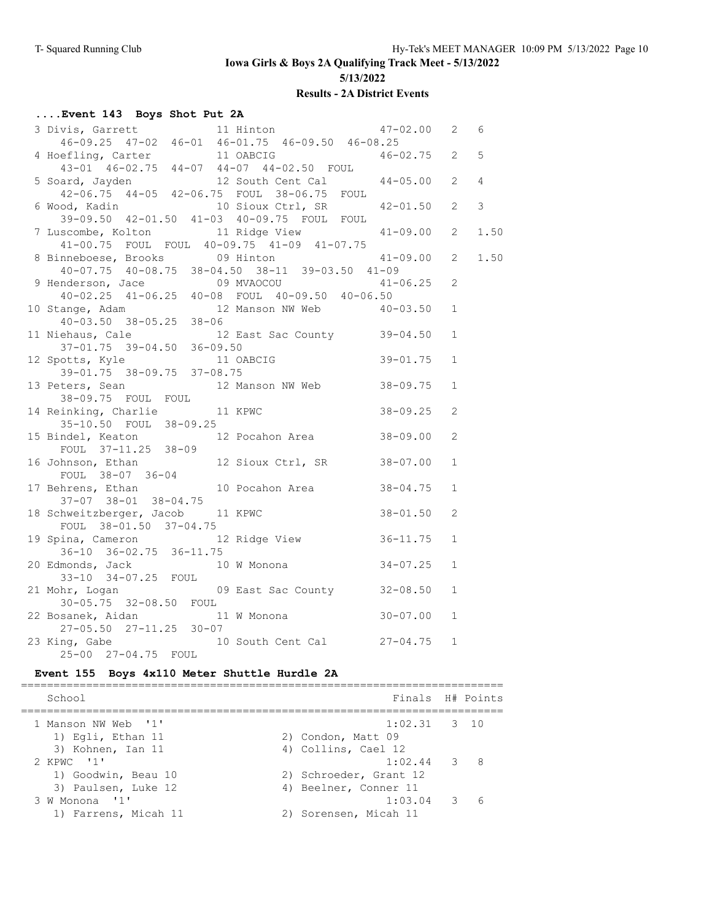**Iowa Girls & Boys 2A Qualifying Track Meet - 5/13/2022**

**5/13/2022**

#### **Results - 2A District Events**

### **....Event 143 Boys Shot Put 2A**

| 3 Divis, Garrett 11 Hinton 47-02.00 2 6<br>46-09.25 47-02 46-01 46-01.75 46-09.50 46-08.25 |                                |              |              |                |
|--------------------------------------------------------------------------------------------|--------------------------------|--------------|--------------|----------------|
|                                                                                            |                                |              |              |                |
| 4 Hoefling, Carter 11 OABCIG 46-02.75 2 5<br>43-01 46-02.75 44-07 44-07 44-02.50 FOUL      |                                |              |              |                |
|                                                                                            |                                |              |              |                |
| 5 Soard, Jayden 12 South Cent Cal 44-05.00 2<br>42-06.75 44-05 42-06.75 FOUL 38-06.75 FOUL |                                |              |              | $\overline{4}$ |
|                                                                                            |                                |              |              |                |
| 6 Wood, Kadin 10 Sioux Ctrl, SR 42-01.50 2                                                 |                                |              |              | $\mathcal{E}$  |
| 39-09.50 42-01.50 41-03 40-09.75 FOUL FOUL                                                 |                                |              |              |                |
| 7 Luscombe, Kolton 11 Ridge View 41-09.00 2                                                |                                |              |              | 1.50           |
| 41-00.75 FOUL FOUL 40-09.75 41-09 41-07.75<br>8 Binneboese, Brooks 09 Hinton 41-09.00 2    |                                |              |              |                |
|                                                                                            |                                |              |              | 1.50           |
| $40-07.75$ $40-08.75$ $38-04.50$ $38-11$ $39-03.50$ $41-09$                                |                                |              |              |                |
|                                                                                            |                                |              |              |                |
| 9 Henderson, Jace 69 MVAOCOU 41-06.25 2<br>40-02.25 41-06.25 40-08 FOUL 40-09.50 40-06.50  |                                |              |              |                |
| 10 Stange, Adam 12 Manson NW Web 40-03.50 1<br>40-03.50 38-05.25 38-06                     |                                |              |              |                |
|                                                                                            |                                |              |              |                |
| ehaus, Cale 12 East Sac County 39-04.50<br>37-01.75 39-04.50 36-09.50<br>11 Niehaus, Cale  |                                |              | <sup>1</sup> |                |
|                                                                                            |                                |              |              |                |
| 12 Spotts, Kyle                                                                            | 36-09.50<br>11 OABCIG 39-01.75 |              | 1            |                |
| 39-01.75 38-09.75 37-08.75                                                                 |                                |              |              |                |
| 13 Peters, Sean 12 Manson NW Web 38-09.75                                                  |                                |              | 1            |                |
| 38-09.75 FOUL FOUL                                                                         |                                |              |              |                |
|                                                                                            |                                |              | 2            |                |
| 14 Reinking, Charlie 11 KPWC 38-09.25<br>35-10.50 FOUL 38-09.25                            |                                |              |              |                |
| 15 Bindel, Keaton 12 Pocahon Area 38-09.00                                                 |                                |              | 2            |                |
| FOUL 37-11.25 38-09                                                                        |                                |              |              |                |
| 16 Johnson, Ethan 12 Sioux Ctrl, SR 38-07.00                                               |                                |              | $\mathbf{1}$ |                |
| FOUL 38-07 36-04<br>17 Behrens, Ethan                                                      |                                |              |              |                |
|                                                                                            | 10 Pocahon Area                | $38 - 04.75$ | $\mathbf{1}$ |                |
| $37-07$ $38-01$ $38-04.75$                                                                 |                                |              |              |                |
| 18 Schweitzberger, Jacob 11 KPWC 38-01.50                                                  |                                |              | 2            |                |
| FOUL 38-01.50 37-04.75                                                                     |                                |              |              |                |
| 19 Spina, Cameron 12 Ridge View 36-11.75<br>36-10 36-02.75 36-11.75                        |                                |              | 1            |                |
|                                                                                            |                                |              |              |                |
| 20 Edmonds, Jack 10 W Monona 34-07.25                                                      |                                |              | $\mathbf{1}$ |                |
| 33-10 34-07.25 FOUL                                                                        |                                |              |              |                |
| 21 Mohr, Logan                                                                             | 09 East Sac County 32-08.50    |              | $\mathbf{1}$ |                |
| 30-05.75 32-08.50 FOUL                                                                     |                                |              |              |                |
| 22 Bosanek, Aidan                                                                          | 11 W Monona $30-07.00$         |              | $\mathbf{1}$ |                |
| 27-05.50 27-11.25 30-07                                                                    |                                |              |              |                |
| 23 King, Gabe 10 South Cent Cal 27-04.75 1                                                 |                                |              |              |                |
| 25-00 27-04.75 FOUL                                                                        |                                |              |              |                |

### **Event 155 Boys 4x110 Meter Shuttle Hurdle 2A**

| Finals H# Points       |
|------------------------|
| $1:02.31$ 3 10         |
| 2) Condon, Matt 09     |
| 4) Collins, Cael 12    |
| $1:02.44$ 3 8          |
| 2) Schroeder, Grant 12 |
| 4) Beelner, Conner 11  |
| $1:03.04$ 3 6          |
| Sorensen, Micah 11     |
|                        |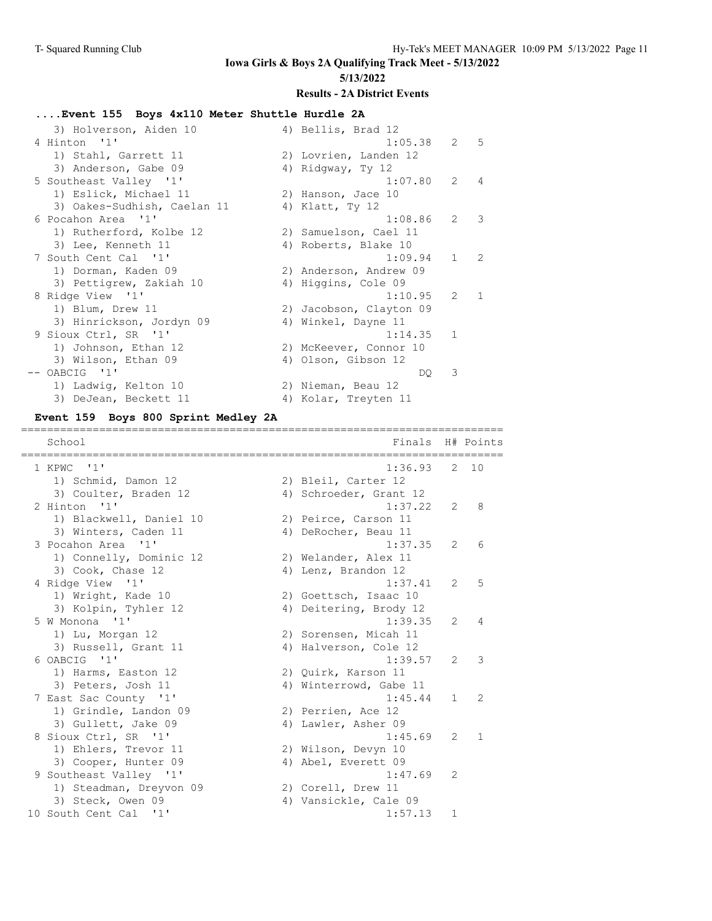#### **Iowa Girls & Boys 2A Qualifying Track Meet - 5/13/2022 5/13/2022**

#### **Results - 2A District Events**

### **....Event 155 Boys 4x110 Meter Shuttle Hurdle 2A**

| 3) Holverson, Aiden 10      | 4) Bellis, Brad 12      |              |                          |
|-----------------------------|-------------------------|--------------|--------------------------|
| 4 Hinton '1'                | $1:05.38$ 2 5           |              |                          |
| 1) Stahl, Garrett 11        | 2) Lovrien, Landen 12   |              |                          |
| 3) Anderson, Gabe 09        | 4) Ridgway, Ty 12       |              |                          |
| 5 Southeast Valley '1'      | 1:07.80 2               |              | $\overline{4}$           |
| 1) Eslick, Michael 11       | 2) Hanson, Jace 10      |              |                          |
| 3) Oakes-Sudhish, Caelan 11 | 4) Klatt, Ty 12         |              |                          |
| 6 Pocahon Area '1'          | 1:08.86                 | $\mathbf{2}$ | $\overline{\phantom{a}}$ |
| 1) Rutherford, Kolbe 12     | 2) Samuelson, Cael 11   |              |                          |
| 3) Lee, Kenneth 11          | 4) Roberts, Blake 10    |              |                          |
| 7 South Cent Cal '1'        | 1:09.94                 | $1 \quad 2$  |                          |
| 1) Dorman, Kaden 09         | 2) Anderson, Andrew 09  |              |                          |
| 3) Pettigrew, Zakiah 10     | 4) Higgins, Cole 09     |              |                          |
| 8 Ridge View '1'            | 1:10.95                 | 2            | $\overline{1}$           |
| 1) Blum, Drew 11            | 2) Jacobson, Clayton 09 |              |                          |
| 3) Hinrickson, Jordyn 09    | 4) Winkel, Dayne 11     |              |                          |
| 9 Sioux Ctrl, SR '1'        | $1:14.35$ 1             |              |                          |
| 1) Johnson, Ethan 12        | 2) McKeever, Connor 10  |              |                          |
| 3) Wilson, Ethan 09         | 4) Olson, Gibson 12     |              |                          |
| OABCIG '1'                  | DO.                     | 3            |                          |
| 1) Ladwig, Kelton 10        | 2) Nieman, Beau 12      |              |                          |
| 3) DeJean, Beckett 11       | 4) Kolar, Treyten 11    |              |                          |

### **Event 159 Boys 800 Sprint Medley 2A**

| School                                      | Finals                 |                | H# Points      |
|---------------------------------------------|------------------------|----------------|----------------|
| 1 KPWC<br>$\mathbf{1}$                      | 1:36.93                |                | $2 \quad 10$   |
| 1) Schmid, Damon 12                         | 2) Bleil, Carter 12    |                |                |
| 3) Coulter, Braden 12                       | 4) Schroeder, Grant 12 |                |                |
| 2 Hinton '1'                                | 1:37.22                | 2              | 8              |
| 1) Blackwell, Daniel 10                     | 2) Peirce, Carson 11   |                |                |
| 3) Winters, Caden 11                        | 4) DeRocher, Beau 11   |                |                |
| 3 Pocahon Area<br>$^{\prime}$ 1 $^{\prime}$ | 1:37.35                | 2              | 6              |
| 1) Connelly, Dominic 12                     | 2) Welander, Alex 11   |                |                |
| 3) Cook, Chase 12                           | 4) Lenz, Brandon 12    |                |                |
| 4 Ridge View '1'                            | 1:37.41                | $\mathcal{L}$  | 5              |
| 1) Wright, Kade 10                          | 2) Goettsch, Isaac 10  |                |                |
| 3) Kolpin, Tyhler 12                        | 4) Deitering, Brody 12 |                |                |
| 5 W Monona '1'                              | 1:39.35                | $\mathcal{L}$  | $\overline{4}$ |
| 1) Lu, Morgan 12                            | 2) Sorensen, Micah 11  |                |                |
| 3) Russell, Grant 11                        | 4) Halverson, Cole 12  |                |                |
| 6 OABCIG '1'                                | 1:39.57                | 2              | 3              |
| 1) Harms, Easton 12                         | 2) Quirk, Karson 11    |                |                |
| 3) Peters, Josh 11                          | 4) Winterrowd, Gabe 11 |                |                |
| 7 East Sac County '1'                       | 1:45.44                | $\mathbf{1}$   | $\mathcal{L}$  |
| 1) Grindle, Landon 09                       | 2) Perrien, Ace 12     |                |                |
| 3) Gullett, Jake 09                         | 4) Lawler, Asher 09    |                |                |
| 8 Sioux Ctrl, SR '1'                        | 1:45.69                | $\mathcal{L}$  | $\mathbf{1}$   |
| 1) Ehlers, Trevor 11                        | 2) Wilson, Devyn 10    |                |                |
| 3) Cooper, Hunter 09                        | 4) Abel, Everett 09    |                |                |
| 9 Southeast Valley '1'                      | 1:47.69                | $\overline{2}$ |                |
| 1) Steadman, Dreyvon 09                     | 2) Corell, Drew 11     |                |                |
| 3) Steck, Owen 09                           | 4) Vansickle, Cale 09  |                |                |
| 10 South Cent Cal '1'                       | 1:57.13                | 1              |                |
|                                             |                        |                |                |